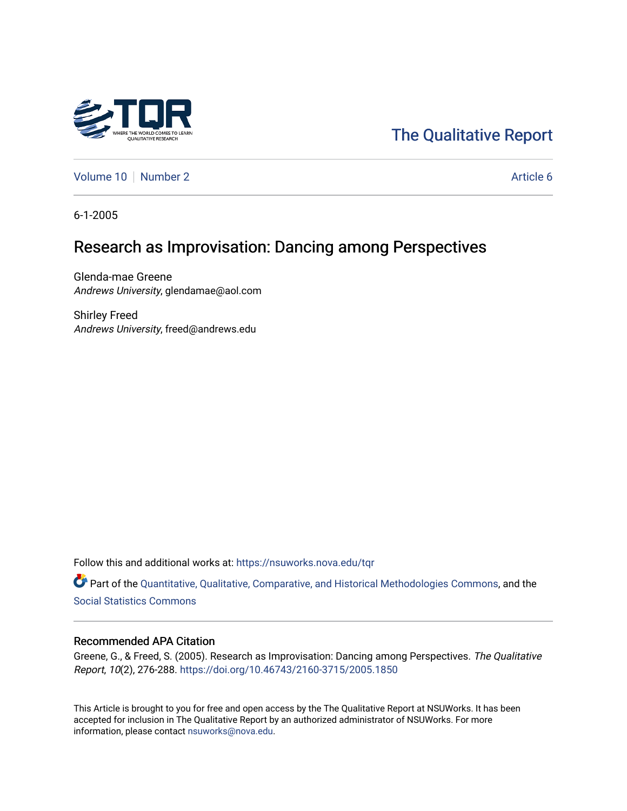

# [The Qualitative Report](https://nsuworks.nova.edu/tqr)

[Volume 10](https://nsuworks.nova.edu/tqr/vol10) [Number 2](https://nsuworks.nova.edu/tqr/vol10/iss2) Article 6

6-1-2005

# Research as Improvisation: Dancing among Perspectives

Glenda-mae Greene Andrews University, glendamae@aol.com

Shirley Freed Andrews University, freed@andrews.edu

Follow this and additional works at: [https://nsuworks.nova.edu/tqr](https://nsuworks.nova.edu/tqr?utm_source=nsuworks.nova.edu%2Ftqr%2Fvol10%2Fiss2%2F6&utm_medium=PDF&utm_campaign=PDFCoverPages) 

Part of the [Quantitative, Qualitative, Comparative, and Historical Methodologies Commons,](http://network.bepress.com/hgg/discipline/423?utm_source=nsuworks.nova.edu%2Ftqr%2Fvol10%2Fiss2%2F6&utm_medium=PDF&utm_campaign=PDFCoverPages) and the [Social Statistics Commons](http://network.bepress.com/hgg/discipline/1275?utm_source=nsuworks.nova.edu%2Ftqr%2Fvol10%2Fiss2%2F6&utm_medium=PDF&utm_campaign=PDFCoverPages) 

### Recommended APA Citation

Greene, G., & Freed, S. (2005). Research as Improvisation: Dancing among Perspectives. The Qualitative Report, 10(2), 276-288. <https://doi.org/10.46743/2160-3715/2005.1850>

This Article is brought to you for free and open access by the The Qualitative Report at NSUWorks. It has been accepted for inclusion in The Qualitative Report by an authorized administrator of NSUWorks. For more information, please contact [nsuworks@nova.edu.](mailto:nsuworks@nova.edu)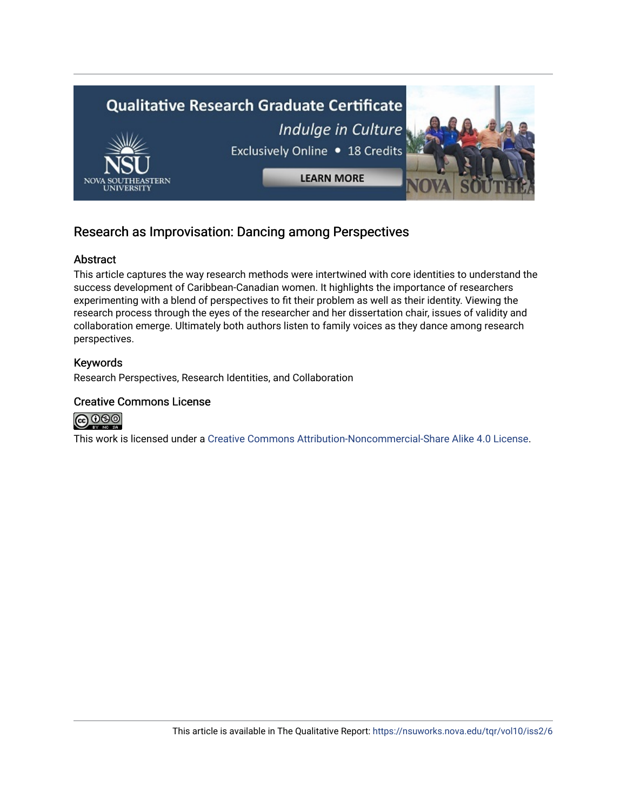

## Research as Improvisation: Dancing among Perspectives

## Abstract

This article captures the way research methods were intertwined with core identities to understand the success development of Caribbean-Canadian women. It highlights the importance of researchers experimenting with a blend of perspectives to fit their problem as well as their identity. Viewing the research process through the eyes of the researcher and her dissertation chair, issues of validity and collaboration emerge. Ultimately both authors listen to family voices as they dance among research perspectives.

## Keywords

Research Perspectives, Research Identities, and Collaboration

## Creative Commons License



This work is licensed under a [Creative Commons Attribution-Noncommercial-Share Alike 4.0 License](https://creativecommons.org/licenses/by-nc-sa/4.0/).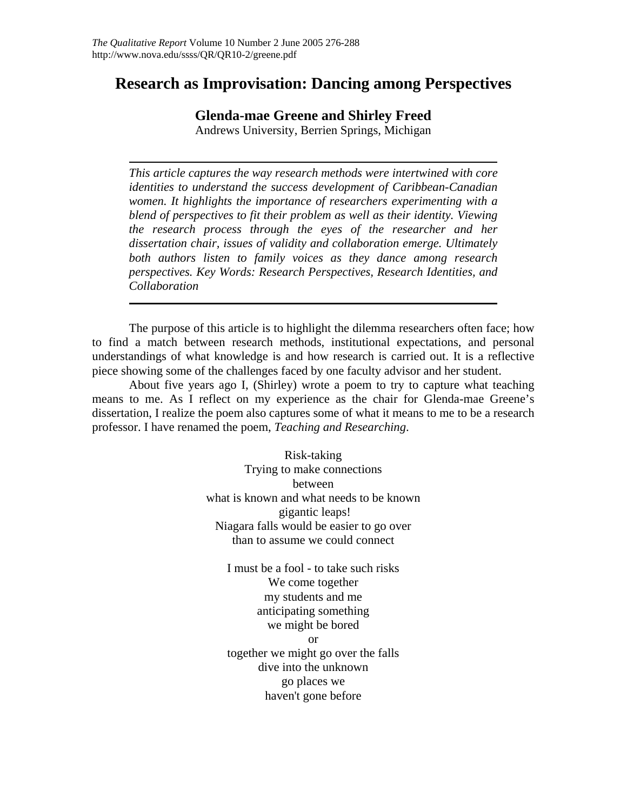## **Research as Improvisation: Dancing among Perspectives**

**Glenda-mae Greene and Shirley Freed** 

Andrews University, Berrien Springs, Michigan

*This article captures the way research methods were intertwined with core identities to understand the success development of Caribbean-Canadian women. It highlights the importance of researchers experimenting with a blend of perspectives to fit their problem as well as their identity. Viewing the research process through the eyes of the researcher and her dissertation chair, issues of validity and collaboration emerge. Ultimately both authors listen to family voices as they dance among research perspectives. Key Words: Research Perspectives, Research Identities, and Collaboration* 

The purpose of this article is to highlight the dilemma researchers often face; how to find a match between research methods, institutional expectations, and personal understandings of what knowledge is and how research is carried out. It is a reflective piece showing some of the challenges faced by one faculty advisor and her student.

About five years ago I, (Shirley) wrote a poem to try to capture what teaching means to me. As I reflect on my experience as the chair for Glenda-mae Greene's dissertation, I realize the poem also captures some of what it means to me to be a research professor. I have renamed the poem, *Teaching and Researching*.

> Risk-taking Trying to make connections between what is known and what needs to be known gigantic leaps! Niagara falls would be easier to go over than to assume we could connect

I must be a fool - to take such risks We come together my students and me anticipating something we might be bored or together we might go over the falls dive into the unknown go places we haven't gone before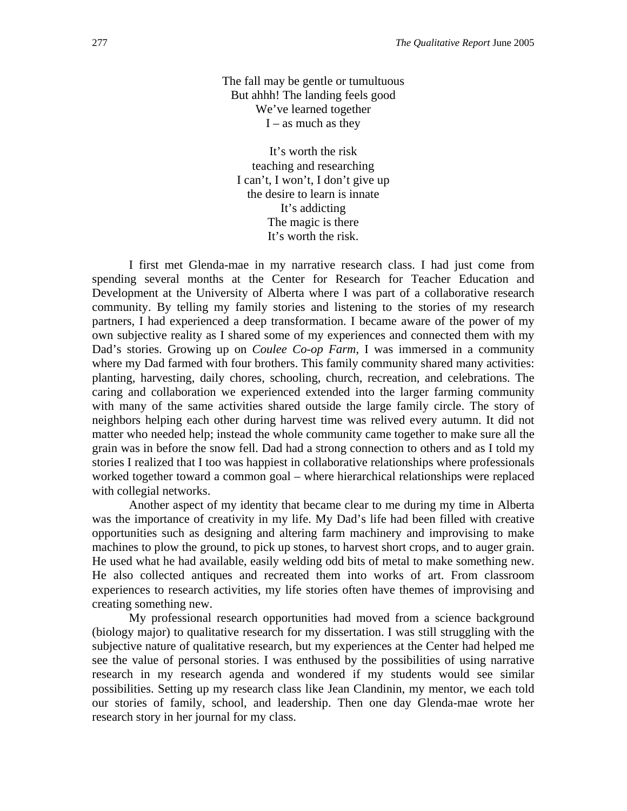The fall may be gentle or tumultuous But ahhh! The landing feels good We've learned together  $I -$  as much as they

It's worth the risk teaching and researching I can't, I won't, I don't give up the desire to learn is innate It's addicting The magic is there It's worth the risk.

I first met Glenda-mae in my narrative research class. I had just come from spending several months at the Center for Research for Teacher Education and Development at the University of Alberta where I was part of a collaborative research community. By telling my family stories and listening to the stories of my research partners, I had experienced a deep transformation. I became aware of the power of my own subjective reality as I shared some of my experiences and connected them with my Dad's stories. Growing up on *Coulee Co-op Farm*, I was immersed in a community where my Dad farmed with four brothers. This family community shared many activities: planting, harvesting, daily chores, schooling, church, recreation, and celebrations. The caring and collaboration we experienced extended into the larger farming community with many of the same activities shared outside the large family circle. The story of neighbors helping each other during harvest time was relived every autumn. It did not matter who needed help; instead the whole community came together to make sure all the grain was in before the snow fell. Dad had a strong connection to others and as I told my stories I realized that I too was happiest in collaborative relationships where professionals worked together toward a common goal – where hierarchical relationships were replaced with collegial networks.

Another aspect of my identity that became clear to me during my time in Alberta was the importance of creativity in my life. My Dad's life had been filled with creative opportunities such as designing and altering farm machinery and improvising to make machines to plow the ground, to pick up stones, to harvest short crops, and to auger grain. He used what he had available, easily welding odd bits of metal to make something new. He also collected antiques and recreated them into works of art. From classroom experiences to research activities, my life stories often have themes of improvising and creating something new.

My professional research opportunities had moved from a science background (biology major) to qualitative research for my dissertation. I was still struggling with the subjective nature of qualitative research, but my experiences at the Center had helped me see the value of personal stories. I was enthused by the possibilities of using narrative research in my research agenda and wondered if my students would see similar possibilities. Setting up my research class like Jean Clandinin, my mentor, we each told our stories of family, school, and leadership. Then one day Glenda-mae wrote her research story in her journal for my class.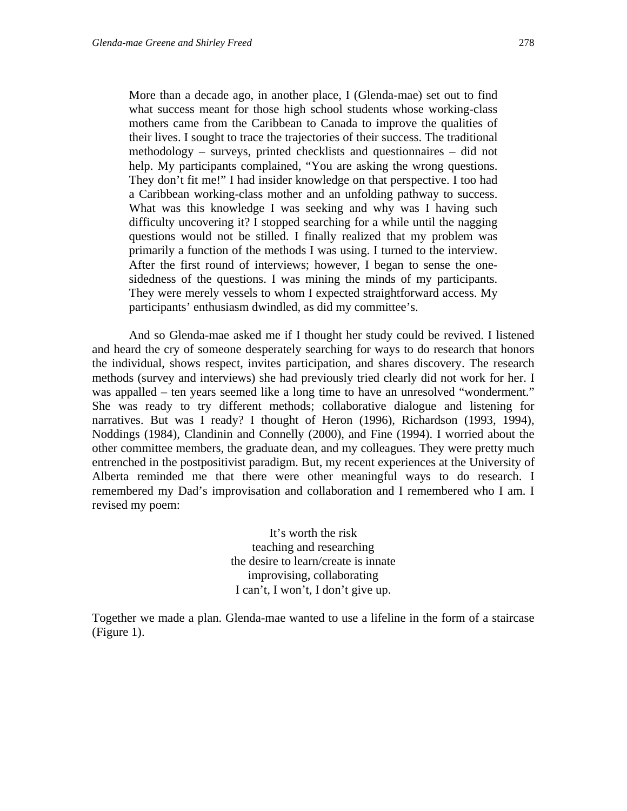More than a decade ago, in another place, I (Glenda-mae) set out to find what success meant for those high school students whose working-class mothers came from the Caribbean to Canada to improve the qualities of their lives. I sought to trace the trajectories of their success. The traditional methodology – surveys, printed checklists and questionnaires – did not help. My participants complained, "You are asking the wrong questions. They don't fit me!" I had insider knowledge on that perspective. I too had a Caribbean working-class mother and an unfolding pathway to success. What was this knowledge I was seeking and why was I having such difficulty uncovering it? I stopped searching for a while until the nagging questions would not be stilled. I finally realized that my problem was primarily a function of the methods I was using. I turned to the interview. After the first round of interviews; however, I began to sense the onesidedness of the questions. I was mining the minds of my participants. They were merely vessels to whom I expected straightforward access. My participants' enthusiasm dwindled, as did my committee's.

And so Glenda-mae asked me if I thought her study could be revived. I listened and heard the cry of someone desperately searching for ways to do research that honors the individual, shows respect, invites participation, and shares discovery. The research methods (survey and interviews) she had previously tried clearly did not work for her. I was appalled – ten years seemed like a long time to have an unresolved "wonderment." She was ready to try different methods; collaborative dialogue and listening for narratives. But was I ready? I thought of Heron (1996), Richardson (1993, 1994), Noddings (1984), Clandinin and Connelly (2000), and Fine (1994). I worried about the other committee members, the graduate dean, and my colleagues. They were pretty much entrenched in the postpositivist paradigm. But, my recent experiences at the University of Alberta reminded me that there were other meaningful ways to do research. I remembered my Dad's improvisation and collaboration and I remembered who I am. I revised my poem:

> It's worth the risk teaching and researching the desire to learn/create is innate improvising, collaborating I can't, I won't, I don't give up.

Together we made a plan. Glenda-mae wanted to use a lifeline in the form of a staircase (Figure 1).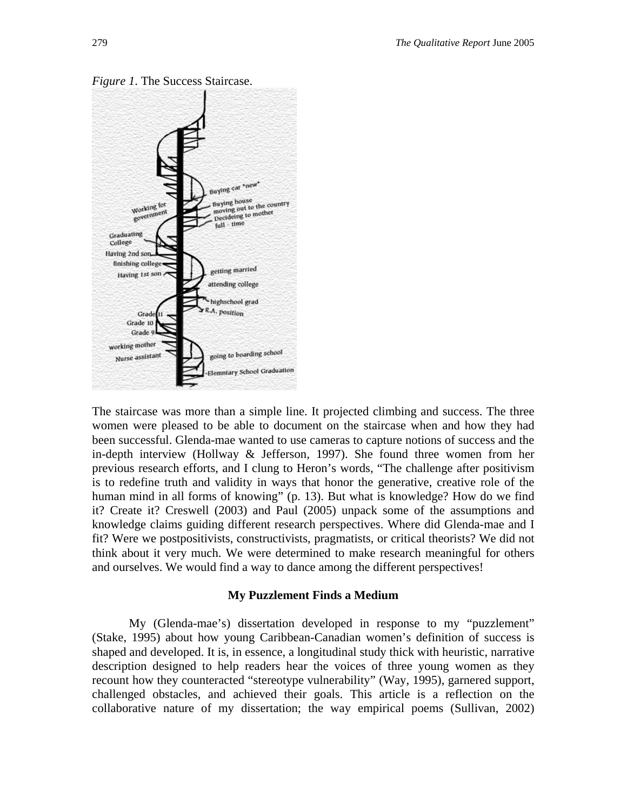

*Figure 1*. The Success Staircase.

The staircase was more than a simple line. It projected climbing and success. The three women were pleased to be able to document on the staircase when and how they had been successful. Glenda-mae wanted to use cameras to capture notions of success and the in-depth interview (Hollway & Jefferson, 1997). She found three women from her previous research efforts, and I clung to Heron's words, "The challenge after positivism is to redefine truth and validity in ways that honor the generative, creative role of the human mind in all forms of knowing" (p. 13). But what is knowledge? How do we find it? Create it? Creswell (2003) and Paul (2005) unpack some of the assumptions and knowledge claims guiding different research perspectives. Where did Glenda-mae and I fit? Were we postpositivists, constructivists, pragmatists, or critical theorists? We did not think about it very much. We were determined to make research meaningful for others and ourselves. We would find a way to dance among the different perspectives!

#### **My Puzzlement Finds a Medium**

My (Glenda-mae's) dissertation developed in response to my "puzzlement" (Stake, 1995) about how young Caribbean-Canadian women's definition of success is shaped and developed. It is, in essence, a longitudinal study thick with heuristic, narrative description designed to help readers hear the voices of three young women as they recount how they counteracted "stereotype vulnerability" (Way, 1995), garnered support, challenged obstacles, and achieved their goals. This article is a reflection on the collaborative nature of my dissertation; the way empirical poems (Sullivan, 2002)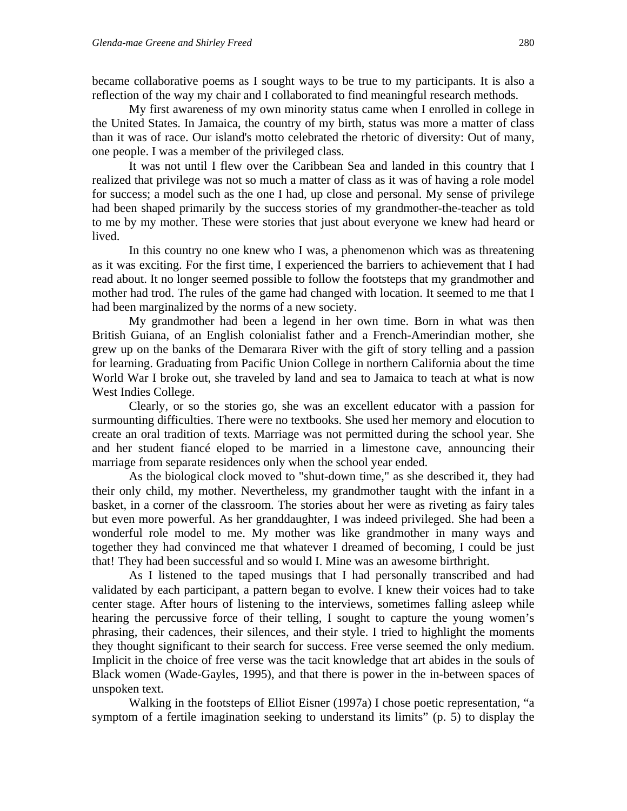became collaborative poems as I sought ways to be true to my participants. It is also a reflection of the way my chair and I collaborated to find meaningful research methods.

My first awareness of my own minority status came when I enrolled in college in the United States. In Jamaica, the country of my birth, status was more a matter of class than it was of race. Our island's motto celebrated the rhetoric of diversity: Out of many, one people. I was a member of the privileged class.

It was not until I flew over the Caribbean Sea and landed in this country that I realized that privilege was not so much a matter of class as it was of having a role model for success; a model such as the one I had, up close and personal. My sense of privilege had been shaped primarily by the success stories of my grandmother-the-teacher as told to me by my mother. These were stories that just about everyone we knew had heard or lived.

In this country no one knew who I was, a phenomenon which was as threatening as it was exciting. For the first time, I experienced the barriers to achievement that I had read about. It no longer seemed possible to follow the footsteps that my grandmother and mother had trod. The rules of the game had changed with location. It seemed to me that I had been marginalized by the norms of a new society.

My grandmother had been a legend in her own time. Born in what was then British Guiana, of an English colonialist father and a French-Amerindian mother, she grew up on the banks of the Demarara River with the gift of story telling and a passion for learning. Graduating from Pacific Union College in northern California about the time World War I broke out, she traveled by land and sea to Jamaica to teach at what is now West Indies College.

Clearly, or so the stories go, she was an excellent educator with a passion for surmounting difficulties. There were no textbooks. She used her memory and elocution to create an oral tradition of texts. Marriage was not permitted during the school year. She and her student fiancé eloped to be married in a limestone cave, announcing their marriage from separate residences only when the school year ended.

As the biological clock moved to "shut-down time," as she described it, they had their only child, my mother. Nevertheless, my grandmother taught with the infant in a basket, in a corner of the classroom. The stories about her were as riveting as fairy tales but even more powerful. As her granddaughter, I was indeed privileged. She had been a wonderful role model to me. My mother was like grandmother in many ways and together they had convinced me that whatever I dreamed of becoming, I could be just that! They had been successful and so would I. Mine was an awesome birthright.

As I listened to the taped musings that I had personally transcribed and had validated by each participant, a pattern began to evolve. I knew their voices had to take center stage. After hours of listening to the interviews, sometimes falling asleep while hearing the percussive force of their telling, I sought to capture the young women's phrasing, their cadences, their silences, and their style. I tried to highlight the moments they thought significant to their search for success. Free verse seemed the only medium. Implicit in the choice of free verse was the tacit knowledge that art abides in the souls of Black women (Wade-Gayles, 1995), and that there is power in the in-between spaces of unspoken text.

Walking in the footsteps of Elliot Eisner (1997a) I chose poetic representation, "a symptom of a fertile imagination seeking to understand its limits" (p. 5) to display the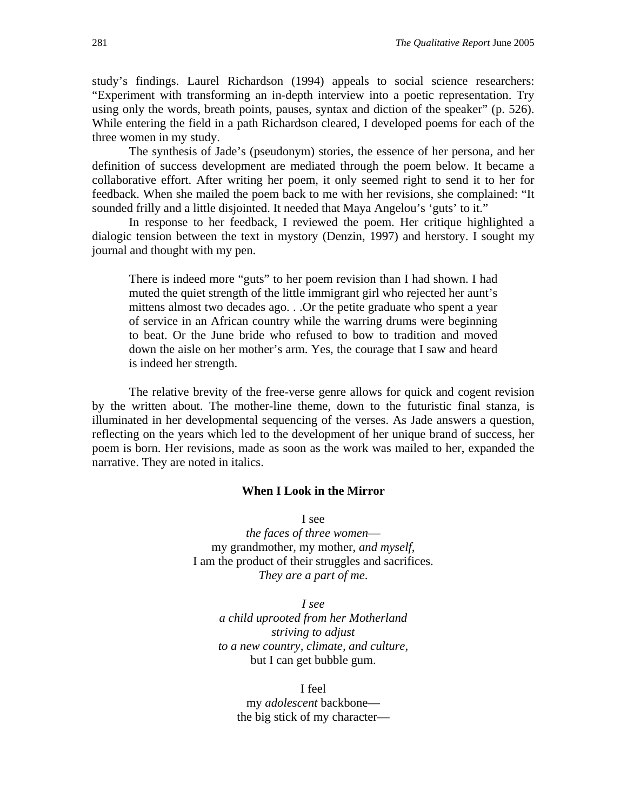study's findings. Laurel Richardson (1994) appeals to social science researchers: "Experiment with transforming an in-depth interview into a poetic representation. Try using only the words, breath points, pauses, syntax and diction of the speaker" (p. 526). While entering the field in a path Richardson cleared, I developed poems for each of the three women in my study.

The synthesis of Jade's (pseudonym) stories, the essence of her persona, and her definition of success development are mediated through the poem below. It became a collaborative effort. After writing her poem, it only seemed right to send it to her for feedback. When she mailed the poem back to me with her revisions, she complained: "It sounded frilly and a little disjointed. It needed that Maya Angelou's 'guts' to it."

In response to her feedback, I reviewed the poem. Her critique highlighted a dialogic tension between the text in mystory (Denzin, 1997) and herstory. I sought my journal and thought with my pen.

There is indeed more "guts" to her poem revision than I had shown. I had muted the quiet strength of the little immigrant girl who rejected her aunt's mittens almost two decades ago. . .Or the petite graduate who spent a year of service in an African country while the warring drums were beginning to beat. Or the June bride who refused to bow to tradition and moved down the aisle on her mother's arm. Yes, the courage that I saw and heard is indeed her strength.

The relative brevity of the free-verse genre allows for quick and cogent revision by the written about. The mother-line theme, down to the futuristic final stanza, is illuminated in her developmental sequencing of the verses. As Jade answers a question, reflecting on the years which led to the development of her unique brand of success, her poem is born. Her revisions, made as soon as the work was mailed to her, expanded the narrative. They are noted in italics.

#### **When I Look in the Mirror**

I see

*the faces of three women* my grandmother, my mother, *and myself*, I am the product of their struggles and sacrifices. *They are a part of me*.

> *I see a child uprooted from her Motherland striving to adjust to a new country, climate, and culture*, but I can get bubble gum.

I feel my *adolescent* backbone the big stick of my character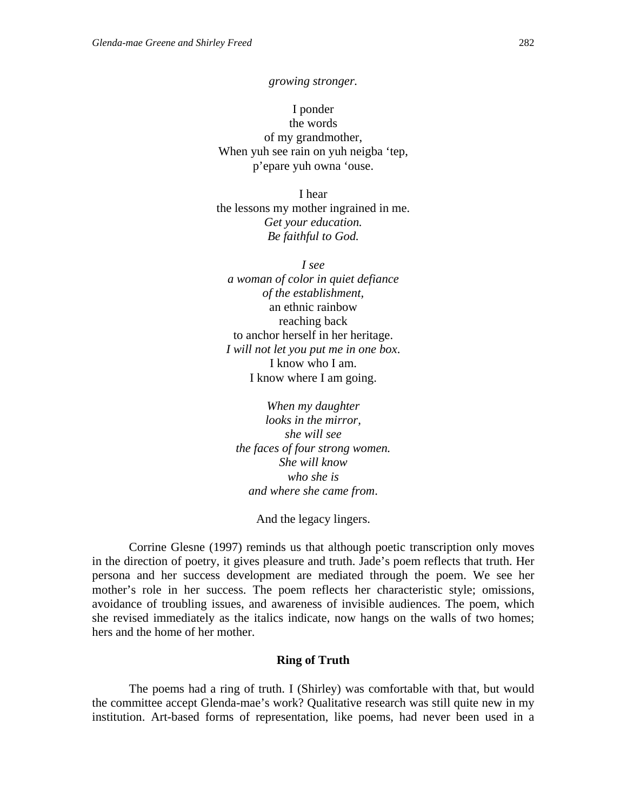*growing stronger.* 

I ponder the words of my grandmother, When yuh see rain on yuh neigba 'tep, p'epare yuh owna 'ouse.

I hear the lessons my mother ingrained in me. *Get your education. Be faithful to God.*

*I see a woman of color in quiet defiance of the establishment,*  an ethnic rainbow reaching back to anchor herself in her heritage. *I will not let you put me in one box*. I know who I am. I know where I am going.

*When my daughter looks in the mirror, she will see the faces of four strong women. She will know who she is and where she came from*.

And the legacy lingers.

Corrine Glesne (1997) reminds us that although poetic transcription only moves in the direction of poetry, it gives pleasure and truth. Jade's poem reflects that truth. Her persona and her success development are mediated through the poem. We see her mother's role in her success. The poem reflects her characteristic style; omissions, avoidance of troubling issues, and awareness of invisible audiences. The poem, which she revised immediately as the italics indicate, now hangs on the walls of two homes; hers and the home of her mother.

#### **Ring of Truth**

The poems had a ring of truth. I (Shirley) was comfortable with that, but would the committee accept Glenda-mae's work? Qualitative research was still quite new in my institution. Art-based forms of representation, like poems, had never been used in a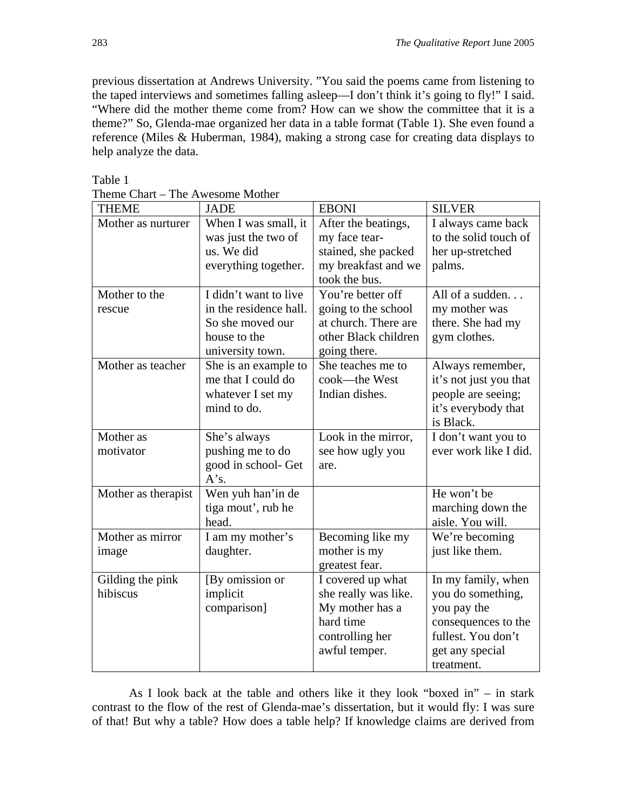previous dissertation at Andrews University. "You said the poems came from listening to the taped interviews and sometimes falling asleep—I don't think it's going to fly!" I said. "Where did the mother theme come from? How can we show the committee that it is a theme?" So, Glenda-mae organized her data in a table format (Table 1). She even found a reference (Miles & Huberman, 1984), making a strong case for creating data displays to help analyze the data.

| <b>THEME</b>        | <b>JADE</b>                                 | <b>EBONI</b>                         | <b>SILVER</b>                               |
|---------------------|---------------------------------------------|--------------------------------------|---------------------------------------------|
| Mother as nurturer  | When I was small, it<br>was just the two of | After the beatings,<br>my face tear- | I always came back<br>to the solid touch of |
|                     | us. We did                                  | stained, she packed                  | her up-stretched                            |
|                     | everything together.                        | my breakfast and we                  | palms.                                      |
|                     |                                             | took the bus.                        |                                             |
| Mother to the       | I didn't want to live                       | You're better off                    | All of a sudden                             |
| rescue              | in the residence hall.                      | going to the school                  | my mother was                               |
|                     | So she moved our                            | at church. There are                 | there. She had my                           |
|                     | house to the                                | other Black children                 | gym clothes.                                |
|                     | university town.                            | going there.                         |                                             |
| Mother as teacher   | She is an example to                        | She teaches me to                    | Always remember,                            |
|                     | me that I could do                          | cook-the West                        | it's not just you that                      |
|                     | whatever I set my                           | Indian dishes.                       | people are seeing;                          |
|                     | mind to do.                                 |                                      | it's everybody that                         |
|                     |                                             |                                      | is Black.                                   |
| Mother as           | She's always                                | Look in the mirror,                  | I don't want you to                         |
| motivator           | pushing me to do                            | see how ugly you                     | ever work like I did.                       |
|                     | good in school- Get<br>A's.                 | are.                                 |                                             |
| Mother as therapist | Wen yuh han'in de                           |                                      | He won't be                                 |
|                     | tiga mout', rub he                          |                                      | marching down the                           |
|                     | head.                                       |                                      | aisle. You will.                            |
| Mother as mirror    | I am my mother's                            | Becoming like my                     | We're becoming                              |
| image               | daughter.                                   | mother is my                         | just like them.                             |
|                     |                                             | greatest fear.                       |                                             |
| Gilding the pink    | [By omission or                             | I covered up what                    | In my family, when                          |
| hibiscus            | implicit                                    | she really was like.                 | you do something,                           |
|                     | comparison]                                 | My mother has a                      | you pay the                                 |
|                     |                                             | hard time                            | consequences to the                         |
|                     |                                             | controlling her                      | fullest. You don't                          |
|                     |                                             | awful temper.                        | get any special                             |
|                     |                                             |                                      | treatment.                                  |

Table 1

Theme Chart – The Awesome Mother

As I look back at the table and others like it they look "boxed in" – in stark contrast to the flow of the rest of Glenda-mae's dissertation, but it would fly: I was sure of that! But why a table? How does a table help? If knowledge claims are derived from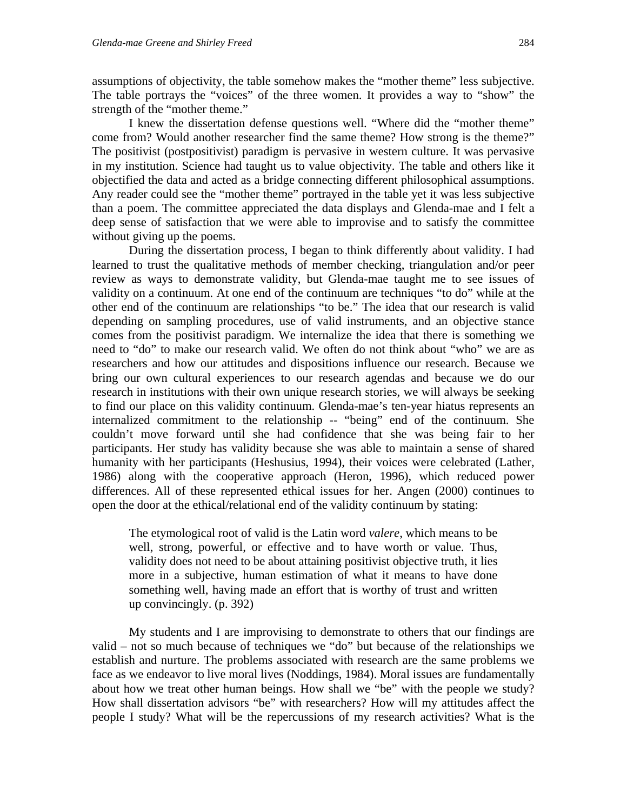assumptions of objectivity, the table somehow makes the "mother theme" less subjective. The table portrays the "voices" of the three women. It provides a way to "show" the strength of the "mother theme."

I knew the dissertation defense questions well. "Where did the "mother theme" come from? Would another researcher find the same theme? How strong is the theme?" The positivist (postpositivist) paradigm is pervasive in western culture. It was pervasive in my institution. Science had taught us to value objectivity. The table and others like it objectified the data and acted as a bridge connecting different philosophical assumptions. Any reader could see the "mother theme" portrayed in the table yet it was less subjective than a poem. The committee appreciated the data displays and Glenda-mae and I felt a deep sense of satisfaction that we were able to improvise and to satisfy the committee without giving up the poems.

During the dissertation process, I began to think differently about validity. I had learned to trust the qualitative methods of member checking, triangulation and/or peer review as ways to demonstrate validity, but Glenda-mae taught me to see issues of validity on a continuum. At one end of the continuum are techniques "to do" while at the other end of the continuum are relationships "to be." The idea that our research is valid depending on sampling procedures, use of valid instruments, and an objective stance comes from the positivist paradigm. We internalize the idea that there is something we need to "do" to make our research valid. We often do not think about "who" we are as researchers and how our attitudes and dispositions influence our research. Because we bring our own cultural experiences to our research agendas and because we do our research in institutions with their own unique research stories, we will always be seeking to find our place on this validity continuum. Glenda-mae's ten-year hiatus represents an internalized commitment to the relationship -- "being" end of the continuum. She couldn't move forward until she had confidence that she was being fair to her participants. Her study has validity because she was able to maintain a sense of shared humanity with her participants (Heshusius, 1994), their voices were celebrated (Lather, 1986) along with the cooperative approach (Heron, 1996), which reduced power differences. All of these represented ethical issues for her. Angen (2000) continues to open the door at the ethical/relational end of the validity continuum by stating:

The etymological root of valid is the Latin word *valere*, which means to be well, strong, powerful, or effective and to have worth or value. Thus, validity does not need to be about attaining positivist objective truth, it lies more in a subjective, human estimation of what it means to have done something well, having made an effort that is worthy of trust and written up convincingly. (p. 392)

My students and I are improvising to demonstrate to others that our findings are valid – not so much because of techniques we "do" but because of the relationships we establish and nurture. The problems associated with research are the same problems we face as we endeavor to live moral lives (Noddings, 1984). Moral issues are fundamentally about how we treat other human beings. How shall we "be" with the people we study? How shall dissertation advisors "be" with researchers? How will my attitudes affect the people I study? What will be the repercussions of my research activities? What is the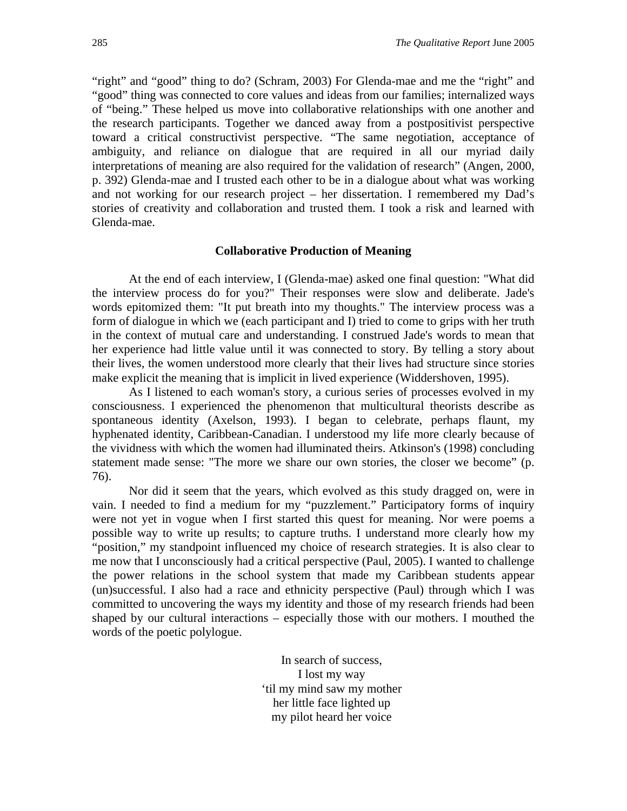"right" and "good" thing to do? (Schram, 2003) For Glenda-mae and me the "right" and "good" thing was connected to core values and ideas from our families; internalized ways of "being." These helped us move into collaborative relationships with one another and the research participants. Together we danced away from a postpositivist perspective toward a critical constructivist perspective. "The same negotiation, acceptance of ambiguity, and reliance on dialogue that are required in all our myriad daily interpretations of meaning are also required for the validation of research" (Angen, 2000, p. 392) Glenda-mae and I trusted each other to be in a dialogue about what was working and not working for our research project – her dissertation. I remembered my Dad's stories of creativity and collaboration and trusted them. I took a risk and learned with Glenda-mae.

#### **Collaborative Production of Meaning**

At the end of each interview, I (Glenda-mae) asked one final question: "What did the interview process do for you?" Their responses were slow and deliberate. Jade's words epitomized them: "It put breath into my thoughts." The interview process was a form of dialogue in which we (each participant and I) tried to come to grips with her truth in the context of mutual care and understanding. I construed Jade's words to mean that her experience had little value until it was connected to story. By telling a story about their lives, the women understood more clearly that their lives had structure since stories make explicit the meaning that is implicit in lived experience (Widdershoven, 1995).

As I listened to each woman's story, a curious series of processes evolved in my consciousness. I experienced the phenomenon that multicultural theorists describe as spontaneous identity (Axelson, 1993). I began to celebrate, perhaps flaunt, my hyphenated identity, Caribbean-Canadian. I understood my life more clearly because of the vividness with which the women had illuminated theirs. Atkinson's (1998) concluding statement made sense: "The more we share our own stories, the closer we become" (p. 76).

Nor did it seem that the years, which evolved as this study dragged on, were in vain. I needed to find a medium for my "puzzlement." Participatory forms of inquiry were not yet in vogue when I first started this quest for meaning. Nor were poems a possible way to write up results; to capture truths. I understand more clearly how my "position," my standpoint influenced my choice of research strategies. It is also clear to me now that I unconsciously had a critical perspective (Paul, 2005). I wanted to challenge the power relations in the school system that made my Caribbean students appear (un)successful. I also had a race and ethnicity perspective (Paul) through which I was committed to uncovering the ways my identity and those of my research friends had been shaped by our cultural interactions – especially those with our mothers. I mouthed the words of the poetic polylogue.

> In search of success, I lost my way 'til my mind saw my mother her little face lighted up my pilot heard her voice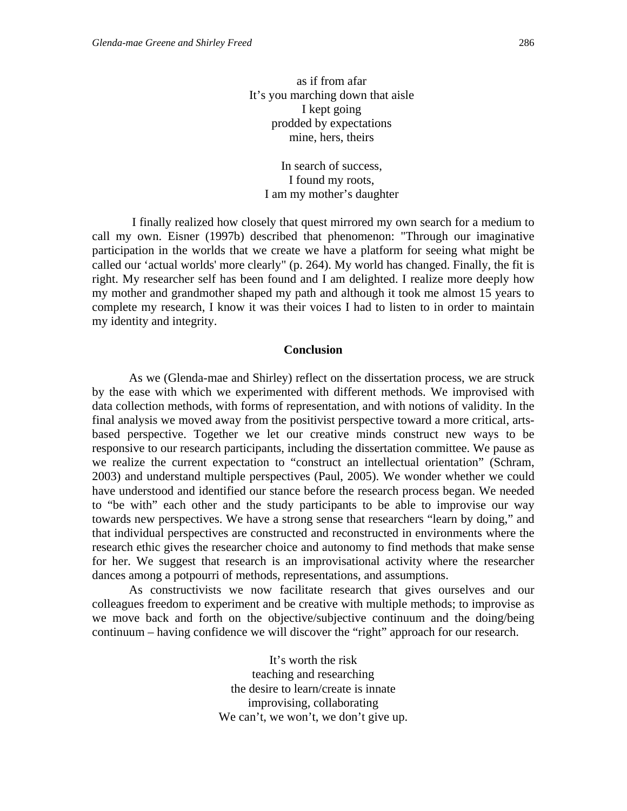as if from afar It's you marching down that aisle I kept going prodded by expectations mine, hers, theirs

> In search of success, I found my roots, I am my mother's daughter

I finally realized how closely that quest mirrored my own search for a medium to call my own. Eisner (1997b) described that phenomenon: "Through our imaginative participation in the worlds that we create we have a platform for seeing what might be called our 'actual worlds' more clearly" (p. 264). My world has changed. Finally, the fit is right. My researcher self has been found and I am delighted. I realize more deeply how my mother and grandmother shaped my path and although it took me almost 15 years to complete my research, I know it was their voices I had to listen to in order to maintain my identity and integrity.

#### **Conclusion**

As we (Glenda-mae and Shirley) reflect on the dissertation process, we are struck by the ease with which we experimented with different methods. We improvised with data collection methods, with forms of representation, and with notions of validity. In the final analysis we moved away from the positivist perspective toward a more critical, artsbased perspective. Together we let our creative minds construct new ways to be responsive to our research participants, including the dissertation committee. We pause as we realize the current expectation to "construct an intellectual orientation" (Schram, 2003) and understand multiple perspectives (Paul, 2005). We wonder whether we could have understood and identified our stance before the research process began. We needed to "be with" each other and the study participants to be able to improvise our way towards new perspectives. We have a strong sense that researchers "learn by doing," and that individual perspectives are constructed and reconstructed in environments where the research ethic gives the researcher choice and autonomy to find methods that make sense for her. We suggest that research is an improvisational activity where the researcher dances among a potpourri of methods, representations, and assumptions.

As constructivists we now facilitate research that gives ourselves and our colleagues freedom to experiment and be creative with multiple methods; to improvise as we move back and forth on the objective/subjective continuum and the doing/being continuum – having confidence we will discover the "right" approach for our research.

> It's worth the risk teaching and researching the desire to learn/create is innate improvising, collaborating We can't, we won't, we don't give up.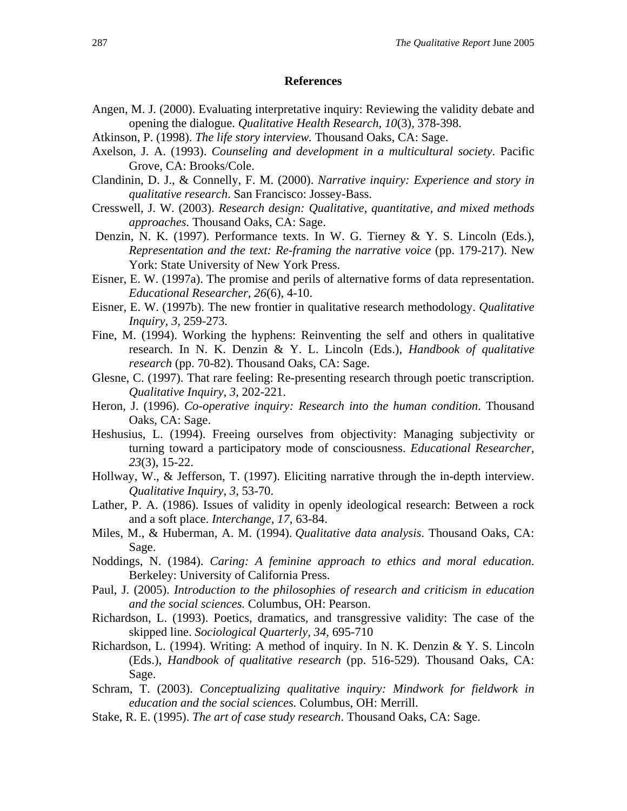#### **References**

- Angen, M. J. (2000). Evaluating interpretative inquiry: Reviewing the validity debate and opening the dialogue. *Qualitative Health Research, 10*(3), 378-398.
- Atkinson, P. (1998). *The life story interview.* Thousand Oaks, CA: Sage.
- Axelson, J. A. (1993). *Counseling and development in a multicultural society*. Pacific Grove, CA: Brooks/Cole.
- Clandinin, D. J., & Connelly, F. M. (2000). *Narrative inquiry: Experience and story in qualitative research*. San Francisco: Jossey-Bass.
- Cresswell, J. W. (2003). *Research design: Qualitative, quantitative, and mixed methods approaches.* Thousand Oaks, CA: Sage.
- Denzin, N. K. (1997). Performance texts. In W. G. Tierney & Y. S. Lincoln (Eds.), *Representation and the text: Re-framing the narrative voice* (pp. 179-217). New York: State University of New York Press.
- Eisner, E. W. (1997a). The promise and perils of alternative forms of data representation. *Educational Researcher, 26*(6), 4-10.
- Eisner, E. W. (1997b). The new frontier in qualitative research methodology. *Qualitative Inquiry, 3,* 259-273.
- Fine, M. (1994). Working the hyphens: Reinventing the self and others in qualitative research. In N. K. Denzin & Y. L. Lincoln (Eds.), *Handbook of qualitative research* (pp. 70-82). Thousand Oaks, CA: Sage.
- Glesne, C. (1997). That rare feeling: Re-presenting research through poetic transcription. *Qualitative Inquiry, 3*, 202-221.
- Heron, J. (1996). *Co-operative inquiry: Research into the human condition*. Thousand Oaks, CA: Sage.
- Heshusius, L. (1994). Freeing ourselves from objectivity: Managing subjectivity or turning toward a participatory mode of consciousness. *Educational Researcher*, *23*(3), 15-22.
- Hollway, W., & Jefferson, T. (1997). Eliciting narrative through the in-depth interview. *Qualitative Inquiry, 3*, 53-70.
- Lather, P. A. (1986). Issues of validity in openly ideological research: Between a rock and a soft place. *Interchange, 17*, 63-84.
- Miles, M., & Huberman, A. M. (1994). *Qualitative data analysis*. Thousand Oaks, CA: Sage.
- Noddings, N. (1984). *Caring: A feminine approach to ethics and moral education*. Berkeley: University of California Press.
- Paul, J. (2005). *Introduction to the philosophies of research and criticism in education and the social sciences.* Columbus, OH: Pearson.
- Richardson, L. (1993). Poetics, dramatics, and transgressive validity: The case of the skipped line. *Sociological Quarterly, 34*, 695-710
- Richardson, L. (1994). Writing: A method of inquiry. In N. K. Denzin & Y. S. Lincoln (Eds.), *Handbook of qualitative research* (pp. 516-529). Thousand Oaks, CA: Sage.
- Schram, T. (2003). *Conceptualizing qualitative inquiry: Mindwork for fieldwork in education and the social sciences.* Columbus, OH: Merrill.
- Stake, R. E. (1995). *The art of case study research*. Thousand Oaks, CA: Sage.